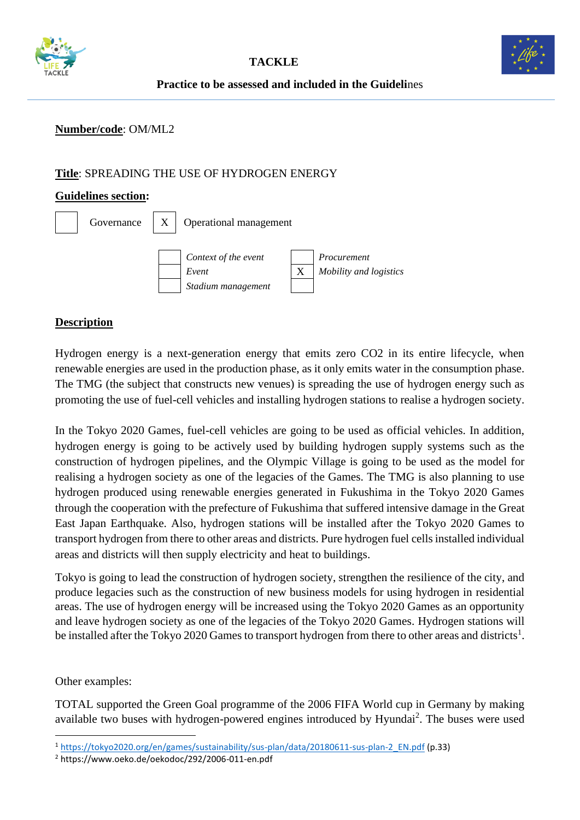



**Practice to be assessed and included in the Guideli**nes

### **Number/code**: OM/ML2

## **Title**: SPREADING THE USE OF HYDROGEN ENERGY

#### **Guidelines section:**

| Governance $\mid X \rangle$ | Operational management                              |  |                                       |
|-----------------------------|-----------------------------------------------------|--|---------------------------------------|
|                             | Context of the event<br>Event<br>Stadium management |  | Procurement<br>Mobility and logistics |

## **Description**

Hydrogen energy is a next-generation energy that emits zero CO2 in its entire lifecycle, when renewable energies are used in the production phase, as it only emits water in the consumption phase. The TMG (the subject that constructs new venues) is spreading the use of hydrogen energy such as promoting the use of fuel-cell vehicles and installing hydrogen stations to realise a hydrogen society.

In the Tokyo 2020 Games, fuel-cell vehicles are going to be used as official vehicles. In addition, hydrogen energy is going to be actively used by building hydrogen supply systems such as the construction of hydrogen pipelines, and the Olympic Village is going to be used as the model for realising a hydrogen society as one of the legacies of the Games. The TMG is also planning to use hydrogen produced using renewable energies generated in Fukushima in the Tokyo 2020 Games through the cooperation with the prefecture of Fukushima that suffered intensive damage in the Great East Japan Earthquake. Also, hydrogen stations will be installed after the Tokyo 2020 Games to transport hydrogen from there to other areas and districts. Pure hydrogen fuel cells installed individual areas and districts will then supply electricity and heat to buildings.

Tokyo is going to lead the construction of hydrogen society, strengthen the resilience of the city, and produce legacies such as the construction of new business models for using hydrogen in residential areas. The use of hydrogen energy will be increased using the Tokyo 2020 Games as an opportunity and leave hydrogen society as one of the legacies of the Tokyo 2020 Games. Hydrogen stations will be installed after the Tokyo 2020 Games to transport hydrogen from there to other areas and districts<sup>1</sup>.

Other examples:

TOTAL supported the Green Goal programme of the 2006 FIFA World cup in Germany by making available two buses with hydrogen-powered engines introduced by Hyundai<sup>2</sup>. The buses were used

<sup>2</sup> https://www.oeko.de/oekodoc/292/2006-011-en.pdf

<sup>1</sup> [https://tokyo2020.org/en/games/sustainability/sus-plan/data/20180611-sus-plan-2\\_EN.pdf](https://tokyo2020.org/en/games/sustainability/sus-plan/data/20180611-sus-plan-2_EN.pdf) (p.33)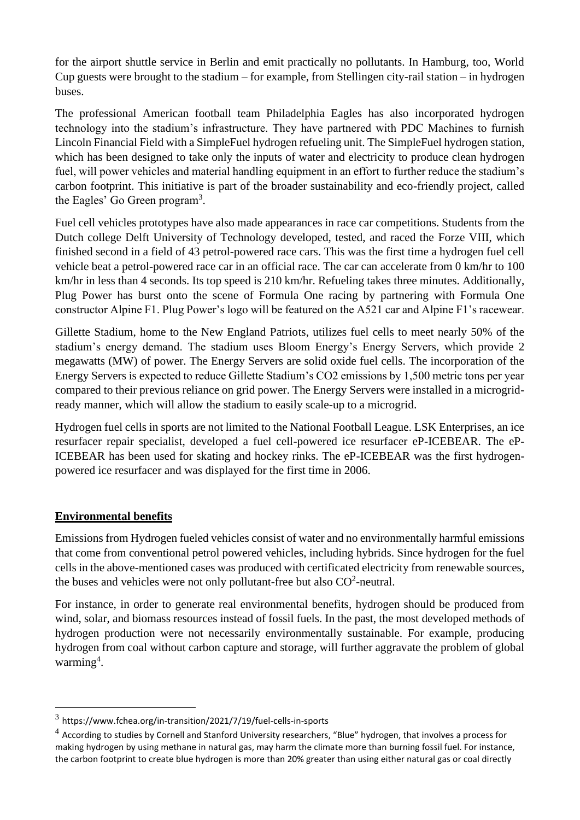for the airport shuttle service in Berlin and emit practically no pollutants. In Hamburg, too, World Cup guests were brought to the stadium – for example, from Stellingen city-rail station – in hydrogen buses.

The professional American football team Philadelphia Eagles has also incorporated hydrogen technology into the stadium's infrastructure. They have partnered with PDC Machines to furnish Lincoln Financial Field with a [SimpleFuel hydrogen refueling unit.](https://www.pdcmachines.com/pdc-machines-to-equip-lincoln-financial-field-with-green-hydrogen-energy-through-new-sustainability-partnership/) The SimpleFuel hydrogen station, which has been designed to take only the inputs of water and electricity to produce clean hydrogen fuel, will power vehicles and material handling equipment in an effort to further reduce the stadium's carbon footprint. This initiative is part of the broader sustainability and eco-friendly project, called the Eagles' Go Green program<sup>3</sup>.

Fuel cell vehicles prototypes have also made appearances in race car competitions. Students from the Dutch college Delft University of Technology developed, tested, and raced the [Forze VIII,](https://fuelcellsworks.com/news/worlds-first-hydrogen-electric-race-car-beats-the-petrol-powered-competition/) which finished second in a field of 43 petrol-powered race cars. This was the first time a hydrogen fuel cell vehicle beat a petrol-powered race car in an official race. The car can accelerate from 0 km/hr to 100 km/hr in less than 4 seconds. Its top speed is 210 km/hr. Refueling takes three minutes. Additionally, Plug Power has burst onto the scene of Formula One racing by [partnering](https://www.ir.plugpower.com/Press-Releases/Press-Release-Details/2021/Plug-Power-and-Alpine-F1-Team-Connect-for-Unique-Collaboration/default.aspx) with Formula One constructor Alpine F1. Plug Power's logo will be featured on the A521 car and Alpine F1's racewear.

Gillette Stadium, home to the New England Patriots, utilizes fuel cells to meet nearly 50% of the stadium's energy demand. The stadium uses [Bloom Energy's Energy Servers,](https://www.bloomenergy.com/newsroom/press-releases/kraft-group-scores-touchdown-sustainability-with-bloom-energy-servers?utm_campaign=Future%20announcements&utm_content=134268937&utm_medium=social&utm_source=twitter&hss_channel=tw-97722136) which provide 2 megawatts (MW) of power. The Energy Servers are solid oxide fuel cells. The incorporation of the Energy Servers is expected to reduce Gillette Stadium's CO2 emissions by 1,500 metric tons per year compared to their previous reliance on grid power. The Energy Servers were installed in a microgridready manner, which will allow the stadium to easily scale-up to a microgrid.

Hydrogen fuel cells in sports are not limited to the National Football League. LSK Enterprises, an ice resurfacer repair specialist, developed a [fuel cell-powered ice resurfacer eP-ICEBEAR.](https://www.lskenterprises.com/news_ep_icebear_hydrogen_powered.htm) The eP-ICEBEAR has been used for skating and hockey rinks. The eP-ICEBEAR was the first hydrogenpowered ice resurfacer and was displayed for the first time in 2006.

# **Environmental benefits**

Emissions from Hydrogen fueled vehicles consist of water and no environmentally harmful emissions that come from conventional petrol powered vehicles, including hybrids. Since hydrogen for the fuel cells in the above-mentioned cases was produced with certificated electricity from renewable sources, the buses and vehicles were not only pollutant-free but also  $CO<sup>2</sup>$ -neutral.

For instance, in order to generate real environmental benefits, hydrogen should be produced from wind, solar, and biomass resources instead of fossil fuels. In the past, the most developed methods of hydrogen production were not necessarily environmentally sustainable. For example, producing hydrogen from coal without carbon capture and storage, will further aggravate the problem of global warming<sup>4</sup>.

 $3$  <https://www.fchea.org/in-transition/2021/7/19/fuel-cells-in-sports>

 $^4$  According to studies by Cornell and Stanford University researchers, "Blue" hydrogen, that involves a process for making hydrogen by using methane in natural gas, may harm the climate more than burning fossil fuel. For instance, the carbon footprint to create blue hydrogen is more than 20% greater than using either natural gas or coal directly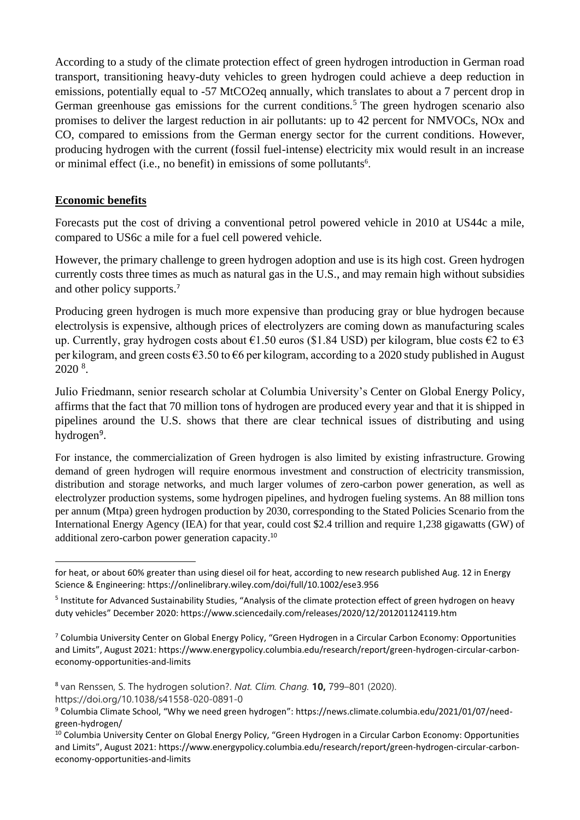According to a study of the climate protection effect of green hydrogen introduction in German road transport, transitioning heavy-duty vehicles to green hydrogen could achieve a deep reduction in emissions, potentially equal to -57 MtCO2eq annually, which translates to about a 7 percent drop in German greenhouse gas emissions for the current conditions.<sup>5</sup> The green hydrogen scenario also promises to deliver the largest reduction in air pollutants: up to 42 percent for NMVOCs, NOx and CO, compared to emissions from the German energy sector for the current conditions. However, producing hydrogen with the current (fossil fuel-intense) electricity mix would result in an increase or minimal effect (i.e., no benefit) in emissions of some pollutants<sup>6</sup>.

### **Economic benefits**

Forecasts put the cost of driving a conventional petrol powered vehicle in 2010 at US44c a mile, compared to US6c a mile for a fuel cell powered vehicle.

However, the primary challenge to green hydrogen adoption and use is its high cost. Green hydrogen currently costs three times as much as natural gas in the U.S., and may remain high without subsidies and other policy supports. 7

Producing green hydrogen is much more expensive than producing gray or blue hydrogen because electrolysis is expensive, although prices of electrolyzers are coming down as manufacturing scales up. Currently, gray hydrogen costs about  $\epsilon$ 1.50 euros (\$1.84 USD) per kilogram, blue costs  $\epsilon$ 2 to  $\epsilon$ 3 per kilogram, and green costs €3.50 to €6 per kilogram, according to a 2020 study published in August 2020 <sup>8</sup> .

Julio Friedmann, senior research scholar at Columbia University's [Center on Global Energy Policy,](https://www.energypolicy.columbia.edu/) affirms that the fact that 70 million tons of hydrogen are produced every year and that it is shipped in pipelines around the U.S. shows that there are clear technical issues of distributing and using hydrogen<sup>9</sup>.

For instance, the commercialization of Green hydrogen is also limited by existing infrastructure. Growing demand of green hydrogen will require enormous investment and construction of electricity transmission, distribution and storage networks, and much larger volumes of zero-carbon power generation, as well as electrolyzer production systems, some hydrogen pipelines, and hydrogen fueling systems. An 88 million tons per annum (Mtpa) green hydrogen production by 2030, corresponding to the Stated Policies Scenario from the International Energy Agency (IEA) for that year, could cost \$2.4 trillion and require 1,238 gigawatts (GW) of additional zero-carbon power generation capacity. 10

for heat, or about 60% greater than using diesel oil for heat, according to new research published Aug. 12 in Energy Science & Engineering: https://onlinelibrary.wiley.com/doi/full/10.1002/ese3.956

<sup>&</sup>lt;sup>5</sup> Institute for Advanced Sustainability Studies, "Analysis of the climate protection effect of green hydrogen on heavy duty vehicles" December 2020: https://www.sciencedaily.com/releases/2020/12/201201124119.htm

<sup>7</sup> Columbia University Center on Global Energy Policy, "Green Hydrogen in a Circular Carbon Economy: Opportunities and Limits", August 2021: https://www.energypolicy.columbia.edu/research/report/green-hydrogen-circular-carboneconomy-opportunities-and-limits

<sup>8</sup> van Renssen, S. The hydrogen solution?. *Nat. Clim. Chang.* **10,** 799–801 (2020). https://doi.org/10.1038/s41558-020-0891-0

<sup>9</sup> Columbia Climate School, "Why we need green hydrogen": https://news.climate.columbia.edu/2021/01/07/needgreen-hydrogen/

<sup>10</sup> Columbia University Center on Global Energy Policy, "Green Hydrogen in a Circular Carbon Economy: Opportunities and Limits", August 2021: https://www.energypolicy.columbia.edu/research/report/green-hydrogen-circular-carboneconomy-opportunities-and-limits